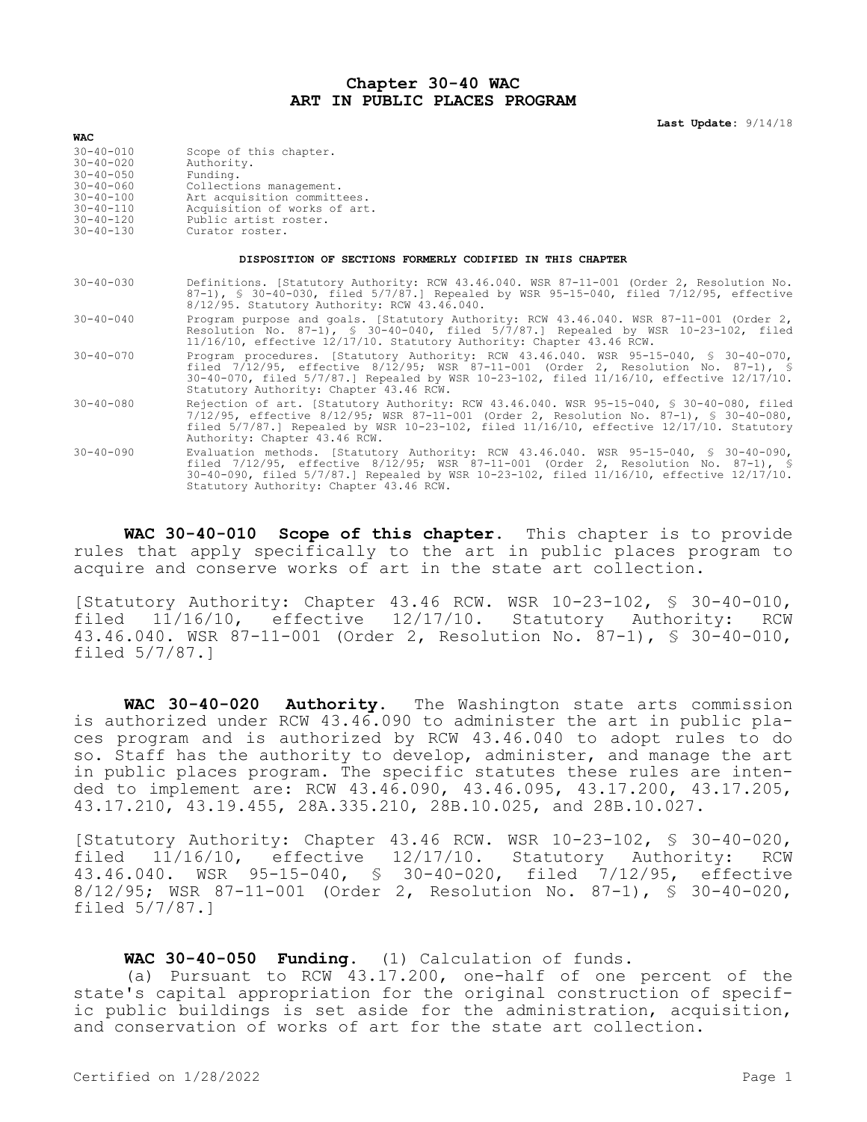## **Chapter 30-40 WAC ART IN PUBLIC PLACES PROGRAM**

**Last Update:** 9/14/18

| $30 - 40 - 010$ | Scope of this chapter.       |
|-----------------|------------------------------|
| $30 - 40 - 020$ | Authority.                   |
| $30 - 40 - 050$ | Funding.                     |
| $30 - 40 - 060$ | Collections management.      |
| $30 - 40 - 100$ | Art acquisition committees.  |
| $30 - 40 - 110$ | Acquisition of works of art. |
| $30 - 40 - 120$ | Public artist roster.        |
| $30 - 40 - 130$ | Curator roster.              |
|                 |                              |

**WAC**

## **DISPOSITION OF SECTIONS FORMERLY CODIFIED IN THIS CHAPTER**

| $30 - 40 - 030$ |  | Definitions. [Statutory Authority: RCW 43.46.040. WSR 87-11-001 (Order 2, Resolution No. |  |  |  |
|-----------------|--|------------------------------------------------------------------------------------------|--|--|--|
|                 |  | $87-1$ , § 30-40-030, filed 5/7/87.] Repealed by WSR 95-15-040, filed 7/12/95, effective |  |  |  |
|                 |  | 8/12/95. Statutory Authority: RCW 43.46.040.                                             |  |  |  |

30-40-040 Program purpose and goals. [Statutory Authority: RCW 43.46.040. WSR 87-11-001 (Order 2, Resolution No. 87-1), § 30-40-040, filed 5/7/87.] Repealed by WSR 10-23-102, filed 11/16/10, effective 12/17/10. Statutory Authority: Chapter 43.46 RCW.

- 30-40-070 Program procedures. [Statutory Authority: RCW 43.46.040. WSR 95-15-040, § 30-40-070, filed 7/12/95, effective 8/12/95; WSR 87-11-001 (Order 2, Resolution No. 87-1), § 30-40-070, filed 5/7/87.] Repealed by WSR 10-23-102, filed 11/16/10, effective 12/17/10. Statutory Authority: Chapter 43.46 RCW.
- 30-40-080 Rejection of art. [Statutory Authority: RCW 43.46.040. WSR 95-15-040, § 30-40-080, filed 7/12/95, effective 8/12/95; WSR 87-11-001 (Order 2, Resolution No. 87-1), § 30-40-080, filed 5/7/87.] Repealed by WSR 10-23-102, filed 11/16/10, effective 12/17/10. Statutory Authority: Chapter 43.46 RCW.
- 30-40-090 Evaluation methods. [Statutory Authority: RCW 43.46.040. WSR 95-15-040, § 30-40-090, filed 7/12/95, effective 8/12/95; WSR 87-11-001 (Order 2, Resolution No. 87-1), § 30-40-090, filed 5/7/87.] Repealed by WSR 10-23-102, filed 11/16/10, effective 12/17/10. Statutory Authority: Chapter 43.46 RCW.

**WAC 30-40-010 Scope of this chapter.** This chapter is to provide rules that apply specifically to the art in public places program to acquire and conserve works of art in the state art collection.

[Statutory Authority: Chapter 43.46 RCW. WSR 10-23-102, § 30-40-010, filed 11/16/10, effective 12/17/10. Statutory Authority: RCW 43.46.040. WSR 87-11-001 (Order 2, Resolution No. 87-1), § 30-40-010, filed 5/7/87.]

**WAC 30-40-020 Authority.** The Washington state arts commission is authorized under RCW 43.46.090 to administer the art in public places program and is authorized by RCW 43.46.040 to adopt rules to do so. Staff has the authority to develop, administer, and manage the art in public places program. The specific statutes these rules are intended to implement are: RCW 43.46.090, 43.46.095, 43.17.200, 43.17.205, 43.17.210, 43.19.455, 28A.335.210, 28B.10.025, and 28B.10.027.

[Statutory Authority: Chapter 43.46 RCW. WSR 10-23-102, § 30-40-020, filed 11/16/10, effective 12/17/10. Statutory Authority: RCW 43.46.040. WSR 95-15-040, § 30-40-020, filed 7/12/95, effective 8/12/95; WSR 87-11-001 (Order 2, Resolution No. 87-1), § 30-40-020, filed 5/7/87.]

## **WAC 30-40-050 Funding.** (1) Calculation of funds.

(a) Pursuant to RCW 43.17.200, one-half of one percent of the state's capital appropriation for the original construction of specific public buildings is set aside for the administration, acquisition, and conservation of works of art for the state art collection.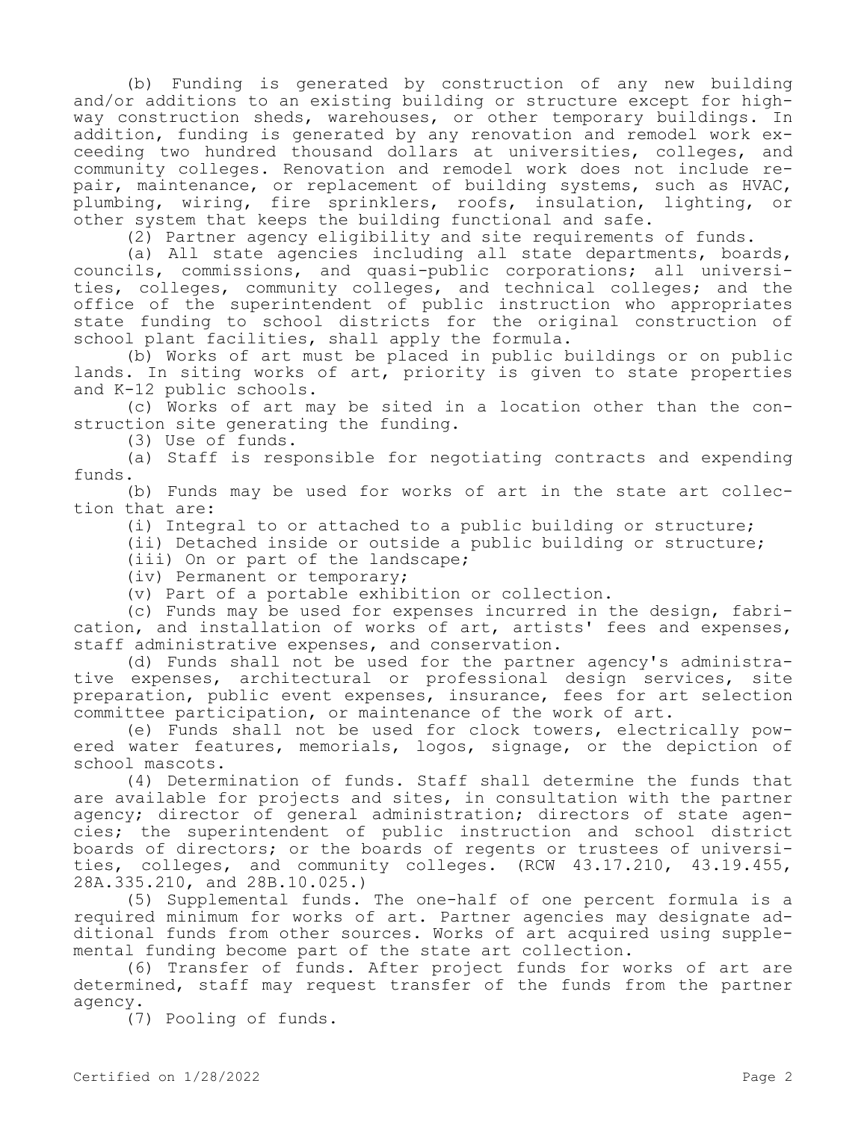(b) Funding is generated by construction of any new building and/or additions to an existing building or structure except for highway construction sheds, warehouses, or other temporary buildings. In addition, funding is generated by any renovation and remodel work exceeding two hundred thousand dollars at universities, colleges, and community colleges. Renovation and remodel work does not include repair, maintenance, or replacement of building systems, such as HVAC, plumbing, wiring, fire sprinklers, roofs, insulation, lighting, or other system that keeps the building functional and safe.

(2) Partner agency eligibility and site requirements of funds.

(a) All state agencies including all state departments, boards, councils, commissions, and quasi-public corporations; all universities, colleges, community colleges, and technical colleges; and the office of the superintendent of public instruction who appropriates state funding to school districts for the original construction of school plant facilities, shall apply the formula.

(b) Works of art must be placed in public buildings or on public lands. In siting works of art, priority is given to state properties and K-12 public schools.

(c) Works of art may be sited in a location other than the construction site generating the funding.

(3) Use of funds.

(a) Staff is responsible for negotiating contracts and expending funds.

(b) Funds may be used for works of art in the state art collection that are:

(i) Integral to or attached to a public building or structure;

(ii) Detached inside or outside a public building or structure;

(iii) On or part of the landscape;

(iv) Permanent or temporary;

(v) Part of a portable exhibition or collection.

(c) Funds may be used for expenses incurred in the design, fabrication, and installation of works of art, artists' fees and expenses, staff administrative expenses, and conservation.

(d) Funds shall not be used for the partner agency's administrative expenses, architectural or professional design services, site preparation, public event expenses, insurance, fees for art selection committee participation, or maintenance of the work of art.

(e) Funds shall not be used for clock towers, electrically powered water features, memorials, logos, signage, or the depiction of school mascots.

(4) Determination of funds. Staff shall determine the funds that are available for projects and sites, in consultation with the partner agency; director of general administration; directors of state agencies; the superintendent of public instruction and school district boards of directors; or the boards of regents or trustees of universities, colleges, and community colleges. (RCW 43.17.210, 43.19.455, 28A.335.210, and 28B.10.025.)

(5) Supplemental funds. The one-half of one percent formula is a required minimum for works of art. Partner agencies may designate additional funds from other sources. Works of art acquired using supplemental funding become part of the state art collection.

(6) Transfer of funds. After project funds for works of art are determined, staff may request transfer of the funds from the partner agency.

(7) Pooling of funds.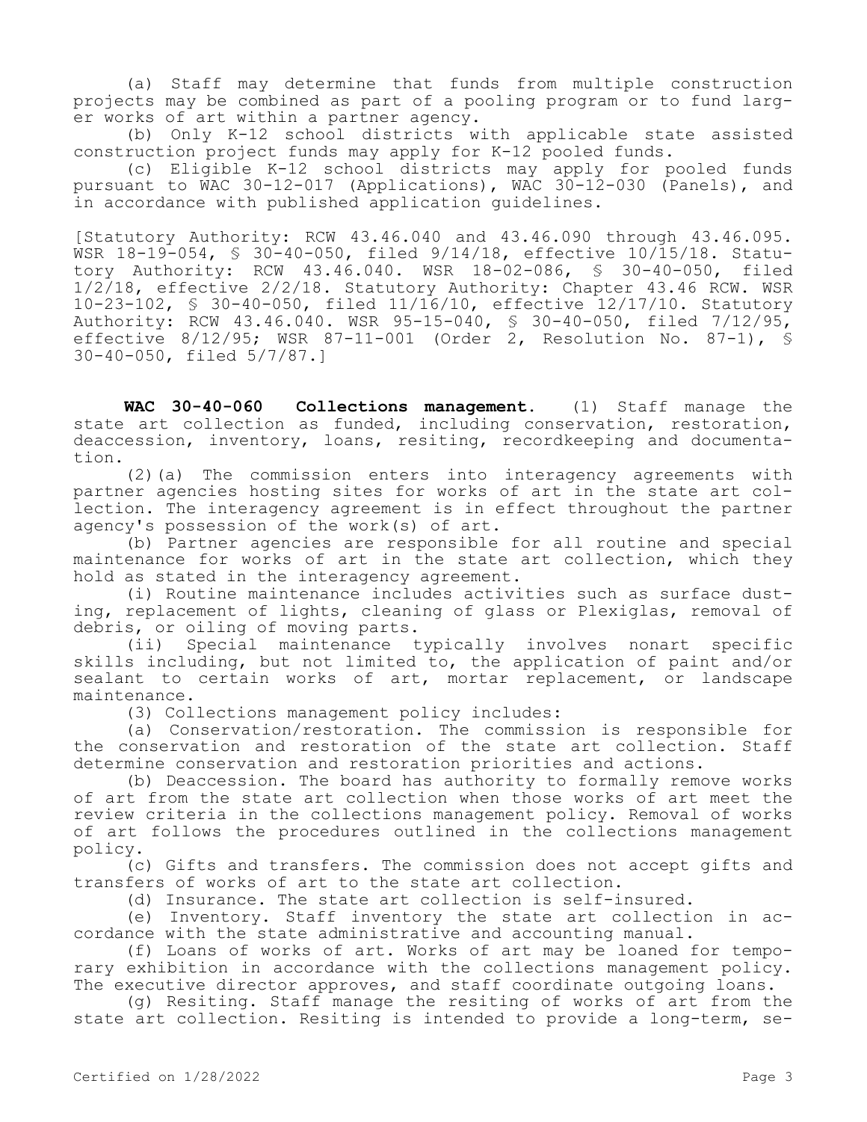(a) Staff may determine that funds from multiple construction projects may be combined as part of a pooling program or to fund larger works of art within a partner agency.

(b) Only K-12 school districts with applicable state assisted construction project funds may apply for K-12 pooled funds.

(c) Eligible K-12 school districts may apply for pooled funds pursuant to WAC 30-12-017 (Applications), WAC 30-12-030 (Panels), and in accordance with published application guidelines.

[Statutory Authority: RCW 43.46.040 and 43.46.090 through 43.46.095. WSR 18-19-054, § 30-40-050, filed 9/14/18, effective 10/15/18. Statutory Authority: RCW 43.46.040. WSR 18-02-086, § 30-40-050, filed 1/2/18, effective 2/2/18. Statutory Authority: Chapter 43.46 RCW. WSR 10-23-102, § 30-40-050, filed 11/16/10, effective 12/17/10. Statutory Authority: RCW 43.46.040. WSR 95-15-040, § 30-40-050, filed 7/12/95, effective 8/12/95; WSR 87-11-001 (Order 2, Resolution No. 87-1), § 30-40-050, filed 5/7/87.]

**WAC 30-40-060 Collections management.** (1) Staff manage the state art collection as funded, including conservation, restoration, deaccession, inventory, loans, resiting, recordkeeping and documentation.

(2)(a) The commission enters into interagency agreements with partner agencies hosting sites for works of art in the state art collection. The interagency agreement is in effect throughout the partner agency's possession of the work(s) of art.

(b) Partner agencies are responsible for all routine and special maintenance for works of art in the state art collection, which they hold as stated in the interagency agreement.

(i) Routine maintenance includes activities such as surface dusting, replacement of lights, cleaning of glass or Plexiglas, removal of debris, or oiling of moving parts.

(ii) Special maintenance typically involves nonart specific skills including, but not limited to, the application of paint and/or sealant to certain works of art, mortar replacement, or landscape maintenance.

(3) Collections management policy includes:

(a) Conservation/restoration. The commission is responsible for the conservation and restoration of the state art collection. Staff determine conservation and restoration priorities and actions.

(b) Deaccession. The board has authority to formally remove works of art from the state art collection when those works of art meet the review criteria in the collections management policy. Removal of works of art follows the procedures outlined in the collections management policy.

(c) Gifts and transfers. The commission does not accept gifts and transfers of works of art to the state art collection.

(d) Insurance. The state art collection is self-insured.

(e) Inventory. Staff inventory the state art collection in accordance with the state administrative and accounting manual.

(f) Loans of works of art. Works of art may be loaned for temporary exhibition in accordance with the collections management policy. The executive director approves, and staff coordinate outgoing loans.

(g) Resiting. Staff manage the resiting of works of art from the state art collection. Resiting is intended to provide a long-term, se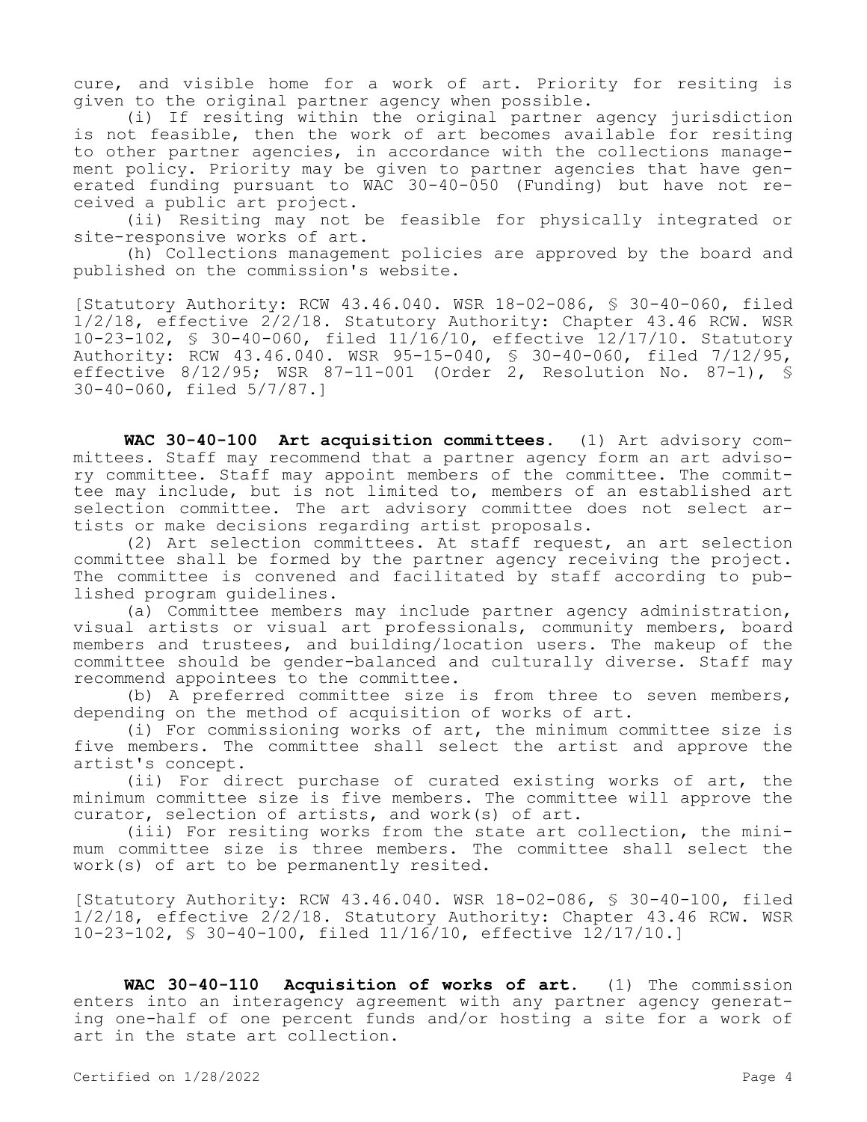cure, and visible home for a work of art. Priority for resiting is given to the original partner agency when possible.

(i) If resiting within the original partner agency jurisdiction is not feasible, then the work of art becomes available for resiting to other partner agencies, in accordance with the collections management policy. Priority may be given to partner agencies that have generated funding pursuant to WAC 30-40-050 (Funding) but have not received a public art project.

(ii) Resiting may not be feasible for physically integrated or site-responsive works of art.

(h) Collections management policies are approved by the board and published on the commission's website.

[Statutory Authority: RCW 43.46.040. WSR 18-02-086, § 30-40-060, filed 1/2/18, effective 2/2/18. Statutory Authority: Chapter 43.46 RCW. WSR 10-23-102, § 30-40-060, filed 11/16/10, effective 12/17/10. Statutory Authority: RCW 43.46.040. WSR 95-15-040, § 30-40-060, filed 7/12/95, effective 8/12/95; WSR 87-11-001 (Order 2, Resolution No. 87-1), § 30-40-060, filed 5/7/87.]

**WAC 30-40-100 Art acquisition committees.** (1) Art advisory committees. Staff may recommend that a partner agency form an art advisory committee. Staff may appoint members of the committee. The committee may include, but is not limited to, members of an established art selection committee. The art advisory committee does not select artists or make decisions regarding artist proposals.

(2) Art selection committees. At staff request, an art selection committee shall be formed by the partner agency receiving the project. The committee is convened and facilitated by staff according to published program guidelines.

(a) Committee members may include partner agency administration, visual artists or visual art professionals, community members, board members and trustees, and building/location users. The makeup of the committee should be gender-balanced and culturally diverse. Staff may recommend appointees to the committee.

(b) A preferred committee size is from three to seven members, depending on the method of acquisition of works of art.

(i) For commissioning works of art, the minimum committee size is five members. The committee shall select the artist and approve the artist's concept.

(ii) For direct purchase of curated existing works of art, the minimum committee size is five members. The committee will approve the curator, selection of artists, and work(s) of art.

(iii) For resiting works from the state art collection, the minimum committee size is three members. The committee shall select the work(s) of art to be permanently resited.

[Statutory Authority: RCW 43.46.040. WSR 18-02-086, § 30-40-100, filed 1/2/18, effective 2/2/18. Statutory Authority: Chapter 43.46 RCW. WSR 10-23-102, § 30-40-100, filed 11/16/10, effective 12/17/10.]

**WAC 30-40-110 Acquisition of works of art.** (1) The commission enters into an interagency agreement with any partner agency generating one-half of one percent funds and/or hosting a site for a work of art in the state art collection.